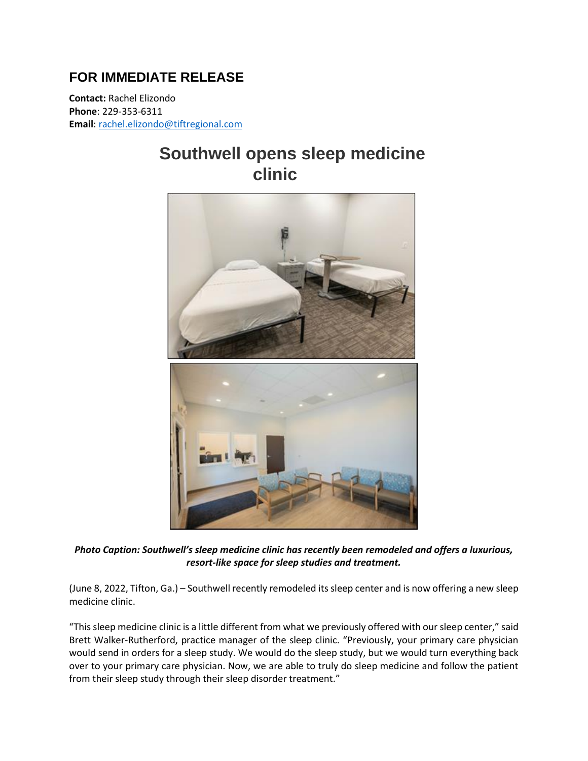## **FOR IMMEDIATE RELEASE**

**Contact:** Rachel Elizondo **Phone**: 229-353-6311 **Email**[: rachel.elizondo@tiftregional.com](mailto:rachel.elizondo@tiftregional.com)

## **Southwell opens sleep medicine clinic**



*Photo Caption: Southwell's sleep medicine clinic has recently been remodeled and offers a luxurious, resort-like space for sleep studies and treatment.*

(June 8, 2022, Tifton, Ga.) – Southwell recently remodeled its sleep center and is now offering a new sleep medicine clinic.

"This sleep medicine clinic is a little different from what we previously offered with our sleep center," said Brett Walker-Rutherford, practice manager of the sleep clinic. "Previously, your primary care physician would send in orders for a sleep study. We would do the sleep study, but we would turn everything back over to your primary care physician. Now, we are able to truly do sleep medicine and follow the patient from their sleep study through their sleep disorder treatment."